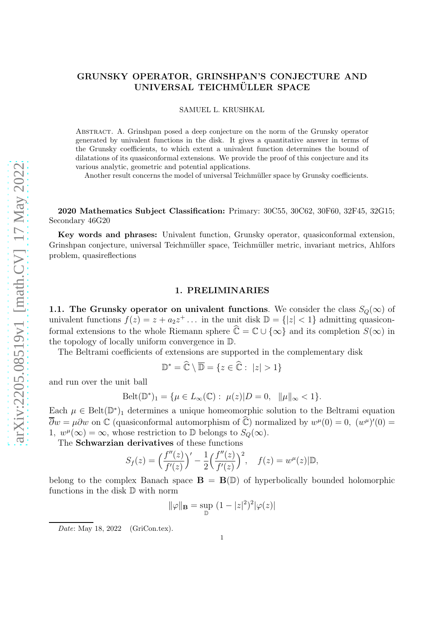# GRUNSKY OPERATOR, GRINSHPAN'S CONJECTURE AND UNIVERSAL TEICHMÜLLER SPACE

SAMUEL L. KRUSHKAL

Abstract. A. Grinshpan posed a deep conjecture on the norm of the Grunsky operator generated by univalent functions in the disk. It gives a quantitative answer in terms of the Grunsky coefficients, to which extent a univalent function determines the bound of dilatations of its quasiconformal extensions. We provide the proof of this conjecture and its various analytic, geometric and potential applications.

Another result concerns the model of universal Teichmüller space by Grunsky coefficients.

2020 Mathematics Subject Classification: Primary: 30C55, 30C62, 30F60, 32F45, 32G15; Secondary 46G20

Key words and phrases: Univalent function, Grunsky operator, quasiconformal extension, Grinshpan conjecture, universal Teichmüller space, Teichmüller metric, invariant metrics, Ahlfors problem, quasireflections

## 1. PRELIMINARIES

1.1. The Grunsky operator on univalent functions. We consider the class  $S_Q(\infty)$  of univalent functions  $f(z) = z + a_2 z^+ \dots$  in the unit disk  $\mathbb{D} = \{|z| < 1\}$  admitting quasiconformal extensions to the whole Riemann sphere  $\hat{\mathbb{C}} = \mathbb{C} \cup \{\infty\}$  and its completion  $S(\infty)$  in the topology of locally uniform convergence in D.

The Beltrami coefficients of extensions are supported in the complementary disk

$$
\mathbb{D}^* = \widehat{\mathbb{C}} \setminus \overline{\mathbb{D}} = \{ z \in \widehat{\mathbb{C}} : \ |z| > 1 \}
$$

and run over the unit ball

$$
\text{Belt}(\mathbb{D}^*)_1 = \{ \mu \in L_\infty(\mathbb{C}) : \ \mu(z) | D = 0, \ \|\mu\|_\infty < 1 \}.
$$

Each  $\mu \in \text{Belt}(\mathbb{D}^*)_1$  determines a unique homeomorphic solution to the Beltrami equation  $\overline{\partial}w = \mu \partial w$  on  $\mathbb C$  (quasiconformal automorphism of  $\widehat{\mathbb C}$ ) normalized by  $w^{\mu}(0) = 0$ ,  $(w^{\mu})'(0) = 0$ 1,  $w^{\mu}(\infty) = \infty$ , whose restriction to D belongs to  $S_Q(\infty)$ .

The Schwarzian derivatives of these functions

$$
S_f(z) = \left(\frac{f''(z)}{f'(z)}\right)' - \frac{1}{2}\left(\frac{f''(z)}{f'(z)}\right)^2, \quad f(z) = w^{\mu}(z)|\mathbb{D},
$$

belong to the complex Banach space  $\mathbf{B} = \mathbf{B}(\mathbb{D})$  of hyperbolically bounded holomorphic functions in the disk D with norm

$$
\|\varphi\|_{\mathbf{B}} = \sup_{\mathbb{D}} (1 - |z|^2)^2 |\varphi(z)|
$$

Date: May 18, 2022 (GriCon.tex).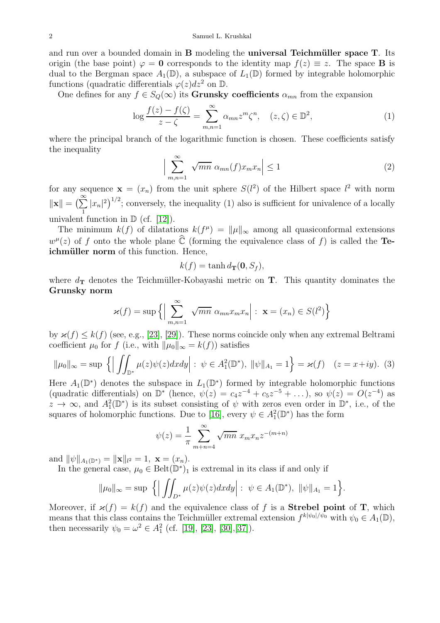#### 2 Samuel L. Krushkal

and run over a bounded domain in  $\bf{B}$  modeling the **universal Teichmüller space T**. Its origin (the base point)  $\varphi = 0$  corresponds to the identity map  $f(z) \equiv z$ . The space **B** is dual to the Bergman space  $A_1(\mathbb{D})$ , a subspace of  $L_1(\mathbb{D})$  formed by integrable holomorphic functions (quadratic differentials  $\varphi(z)dz^2$  on  $\mathbb D$ .

One defines for any  $f \in S_0(\infty)$  its Grunsky coefficients  $\alpha_{mn}$  from the expansion

$$
\log \frac{f(z) - f(\zeta)}{z - \zeta} = \sum_{m,n=1}^{\infty} \alpha_{mn} z^m \zeta^n, \quad (z, \zeta) \in \mathbb{D}^2,
$$
 (1)

where the principal branch of the logarithmic function is chosen. These coefficients satisfy the inequality

$$
\left| \sum_{m,n=1}^{\infty} \sqrt{mn} \alpha_{mn}(f) x_m x_n \right| \le 1
$$
 (2)

for any sequence  $\mathbf{x} = (x_n)$  from the unit sphere  $S(l^2)$  of the Hilbert space  $l^2$  with norm  $\|\mathbf{x}\| = \left(\sum_{i=1}^{\infty}$  $\sum_{1}^{\infty} |x_n|^2$ , conversely, the inequality (1) also is sufficient for univalence of a locally univalent function in  $\mathbb{D}$  (cf. [\[12\]](#page-17-0)).

The minimum  $k(f)$  of dilatations  $k(f^{\mu}) = ||\mu||_{\infty}$  among all quasiconformal extensions  $w^{\mu}(z)$  of f onto the whole plane  $\hat{\mathbb{C}}$  (forming the equivalence class of f) is called the **Te**ichmüller norm of this function. Hence,

$$
k(f) = \tanh d_{\mathbf{T}}(\mathbf{0}, S_f),
$$

where  $d_{\mathbf{T}}$  denotes the Teichmüller-Kobayashi metric on **T**. This quantity dominates the Grunsky norm

$$
\varkappa(f) = \sup \left\{ \Big| \sum_{m,n=1}^{\infty} \sqrt{mn} \alpha_{mn} x_m x_n \Big| : \mathbf{x} = (x_n) \in S(l^2) \right\}
$$

by  $\varkappa(f) \leq k(f)$  (see, e.g., [\[23\]](#page-18-0), [\[29\]](#page-18-1)). These norms coincide only when any extremal Beltrami coefficient  $\mu_0$  for f (i.e., with  $\|\mu_0\|_{\infty} = k(f)$ ) satisfies

$$
\|\mu_0\|_{\infty} = \sup \left\{ \left| \iint_{\mathbb{D}^*} \mu(z) \psi(z) dx dy \right| : \psi \in A_1^2(\mathbb{D}^*), \ \|\psi\|_{A_1} = 1 \right\} = \varkappa(f) \quad (z = x + iy). \tag{3}
$$

Here  $A_1(\mathbb{D}^*)$  denotes the subspace in  $L_1(\mathbb{D}^*)$  formed by integrable holomorphic functions (quadratic differentials) on  $\mathbb{D}^*$  (hence,  $\psi(z) = c_4 z^{-4} + c_5 z^{-5} + \dots$ ), so  $\psi(z) = O(z^{-4})$  as  $z \to \infty$ , and  $A_1^2(\mathbb{D}^*)$  is its subset consisting of  $\psi$  with zeros even order in  $\mathbb{D}^*$ , i.e., of the squares of holomorphic functions. Due to [\[16\]](#page-17-1), every  $\psi \in A_1^2(\mathbb{D}^*)$  has the form

$$
\psi(z) = \frac{1}{\pi} \sum_{m+n=4}^{\infty} \sqrt{mn} x_m x_n z^{-(m+n)}
$$

and  $\|\psi\|_{A_1(\mathbb{D}^*)} = \|\mathbf{x}\|_{l^2} = 1, \mathbf{x} = (x_n).$ 

In the general case,  $\mu_0 \in \text{Belt}(\mathbb{D}^*)_1$  is extremal in its class if and only if

$$
\|\mu_0\|_{\infty} = \sup \left\{ \left| \iint_{D^*} \mu(z) \psi(z) dx dy \right| : \psi \in A_1(\mathbb{D}^*), \ \|\psi\|_{A_1} = 1 \right\}.
$$

Moreover, if  $\varkappa(f) = k(f)$  and the equivalence class of f is a **Strebel point** of **T**, which means that this class contains the Teichmüller extremal extension  $f^{k|\psi_0|/\psi_0}$  with  $\psi_0 \in A_1(\mathbb{D}),$ then necessarily  $\psi_0 = \omega^2 \in A_1^2$  (cf. [\[19\]](#page-18-2), [\[23\]](#page-18-0), [\[30\]](#page-18-3),[\[37\]](#page-18-4)).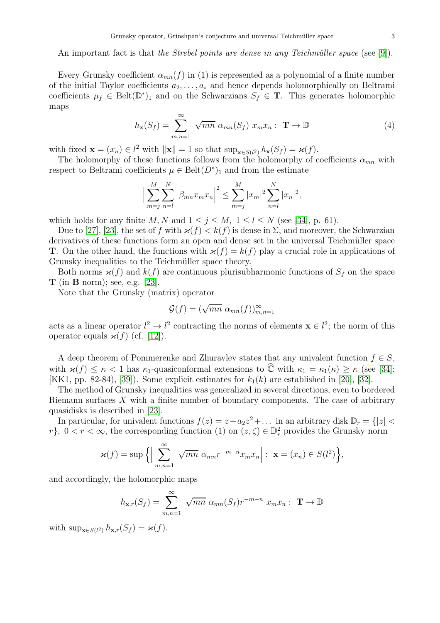An important fact is that the Strebel points are dense in any Teichmüller space (see [\[9\]](#page-17-2)).

Every Grunsky coefficient  $\alpha_{mn}(f)$  in (1) is represented as a polynomial of a finite number of the initial Taylor coefficients  $a_2, \ldots, a_s$  and hence depends holomorphically on Beltrami coefficients  $\mu_f \in \text{Belt}(\mathbb{D}^*)_1$  and on the Schwarzians  $S_f \in \mathbf{T}$ . This generates holomorphic maps

$$
h_{\mathbf{x}}(S_f) = \sum_{m,n=1}^{\infty} \sqrt{mn} \alpha_{mn}(S_f) x_m x_n : \mathbf{T} \to \mathbb{D}
$$
 (4)

with fixed  $\mathbf{x} = (x_n) \in l^2$  with  $\|\mathbf{x}\| = 1$  so that  $\sup_{\mathbf{x} \in S(l^2)} h_{\mathbf{x}}(S_f) = \varkappa(f)$ .

The holomorphy of these functions follows from the holomorphy of coefficients  $\alpha_{mn}$  with respect to Beltrami coefficients  $\mu \in \text{Belt}(D^*)_1$  and from the estimate

$$
\Big|\sum_{m=j}^{M}\sum_{n=l}^{N} \beta_{mn} x_m x_n\Big|^2 \leq \sum_{m=j}^{M} |x_m|^2 \sum_{n=l}^{N} |x_n|^2,
$$

which holds for any finite M, N and  $1 \leq j \leq M$ ,  $1 \leq l \leq N$  (see [\[34\]](#page-18-5), p. 61).

Due to [\[27\]](#page-18-6), [\[23\]](#page-18-0), the set of f with  $\varkappa(f) < k(f)$  is dense in  $\Sigma$ , and moreover, the Schwarzian derivatives of these functions form an open and dense set in the universal Teichmüller space **T**. On the other hand, the functions with  $\varkappa(f) = k(f)$  play a crucial role in applications of Grunsky inequalities to the Teichmüller space theory.

Both norms  $\varkappa(f)$  and  $k(f)$  are continuous plurisubharmonic functions of  $S_f$  on the space  $\mathbf T$  (in  $\mathbf B$  norm); see, e.g. [\[23\]](#page-18-0).

Note that the Grunsky (matrix) operator

$$
\mathcal{G}(f) = (\sqrt{mn} \ \alpha_{mn}(f))_{m,n=1}^{\infty}
$$

acts as a linear operator  $l^2 \to l^2$  contracting the norms of elements  $\mathbf{x} \in l^2$ ; the norm of this operator equals  $\varkappa(f)$  (cf. [\[12\]](#page-17-0)).

A deep theorem of Pommerenke and Zhuravlev states that any univalent function  $f \in S$ , with  $\varkappa(f) \leq \kappa < 1$  has  $\kappa_1$ -quasiconformal extensions to  $\hat{\mathbb{C}}$  with  $\kappa_1 = \kappa_1(\kappa) \geq \kappa$  (see [\[34\]](#page-18-5); [KK1, pp. 82-84), [\[39\]](#page-18-7)). Some explicit estimates for  $k_1(k)$  are established in [\[20\]](#page-18-8), [\[32\]](#page-18-9).

The method of Grunsky inequalities was generalized in several directions, even to bordered Riemann surfaces  $X$  with a finite number of boundary components. The case of arbitrary quasidisks is described in [\[23\]](#page-18-0).

In particular, for univalent functions  $f(z) = z + a_2 z^2 + \dots$  in an arbitrary disk  $\mathbb{D}_r = \{|z| <$ r},  $0 < r < \infty$ , the corresponding function (1) on  $(z, \zeta) \in \mathbb{D}_r^2$  provides the Grunsky norm

$$
\varkappa(f) = \sup \Big\{ \Big| \sum_{m,n=1}^{\infty} \sqrt{mn} \ \alpha_{mn} r^{-m-n} x_m x_n \Big| : \ \mathbf{x} = (x_n) \in S(l^2) \Big\},
$$

and accordingly, the holomorphic maps

$$
h_{\mathbf{x},r}(S_f) = \sum_{m,n=1}^{\infty} \sqrt{mn} \alpha_{mn}(S_f) r^{-m-n} x_m x_n : \mathbf{T} \to \mathbb{D}
$$

with  $\sup_{\mathbf{x}\in S(l^2)} h_{\mathbf{x},r}(S_f) = \varkappa(f)$ .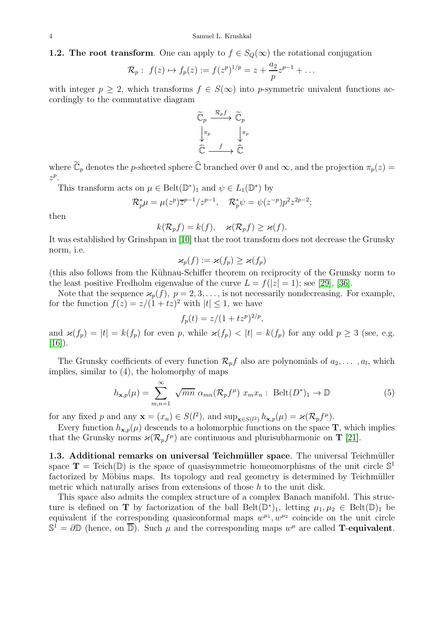### 1.2. The root transform. One can apply to  $f \in S_Q(\infty)$  the rotational conjugation

$$
\mathcal{R}_p: f(z) \mapsto f_p(z) := f(z^p)^{1/p} = z + \frac{a_2}{p} z^{p-1} + \dots
$$

with integer  $p \geq 2$ , which transforms  $f \in S(\infty)$  into p-symmetric univalent functions accordingly to the commutative diagram



where  $\widetilde{\mathbb{C}}_p$  denotes the p-sheeted sphere  $\widehat{\mathbb{C}}$  branched over 0 and  $\infty$ , and the projection  $\pi_p(z)$  $z^p$ .

This transform acts on  $\mu \in \text{Belt}(\mathbb{D}^*)_1$  and  $\psi \in L_1(\mathbb{D}^*)$  by

$$
\mathcal{R}_p^*\mu = \mu(z^p)\overline{z}^{p-1}/z^{p-1},\quad \mathcal{R}_p^*\psi = \psi(z^{-p})p^2z^{2p-2};
$$

then

$$
k(\mathcal{R}_p f) = k(f), \quad \varkappa(\mathcal{R}_p f) \ge \varkappa(f).
$$

It was established by Grinshpan in [\[10\]](#page-17-3) that the root transform does not decrease the Grunsky norm, i.e.

$$
\varkappa_p(f) := \varkappa(f_p) \geq \varkappa(f_p)
$$

(this also follows from the Kühnau-Schiffer theorem on reciprocity of the Grunsky norm to the least positive Fredholm eigenvalue of the curve  $L = f(|z| = 1)$ ; see [\[29\]](#page-18-1), [\[36\]](#page-18-10).

Note that the sequence  $\varkappa_p(f)$ ,  $p = 2, 3, \ldots$ , is not necessarily nondecreasing. For example, for the function  $f(z) = z/(1 + tz)^2$  with  $|t| \leq 1$ , we have

$$
f_p(t) = z/(1 + tz^p)^{2/p},
$$

and  $\varkappa(f_p) = |t| = k(f_p)$  for even p, while  $\varkappa(f_p) < |t| = k(f_p)$  for any odd  $p \ge 3$  (see, e.g.  $[16]$ .

The Grunsky coefficients of every function  $\mathcal{R}_p f$  also are polynomials of  $a_2, \ldots, a_l$ , which implies, similar to (4), the holomorphy of maps

$$
h_{\mathbf{x},p}(\mu) = \sum_{m,n=1}^{\infty} \sqrt{mn} \alpha_{mn} (\mathcal{R}_p f^{\mu}) x_m x_n : \text{Belt}(D^*)_1 \to \mathbb{D}
$$
 (5)

for any fixed p and any  $\mathbf{x} = (x_n) \in S(l^2)$ , and  $\sup_{\mathbf{x} \in S(l^2)} h_{\mathbf{x},p}(\mu) = \varkappa (\mathcal{R}_p f^{\mu}).$ 

Every function  $h_{\mathbf{x},p}(\mu)$  descends to a holomorphic functions on the space **T**, which implies that the Grunsky norms  $\varkappa(\mathcal{R}_p f^{\mu})$  are continuous and plurisubharmonic on **T** [\[21\]](#page-18-11).

1.3. Additional remarks on universal Teichmüller space. The universal Teichmüller space  $\mathbf{T} = \text{Teich}(\mathbb{D})$  is the space of quasisymmetric homeomorphisms of the unit circle  $\mathbb{S}^1$ factorized by Möbius maps. Its topology and real geometry is determined by Teichmüller metric which naturally arises from extensions of those  $h$  to the unit disk.

This space also admits the complex structure of a complex Banach manifold. This structure is defined on **T** by factorization of the ball  $\text{Belt}(\mathbb{D}^*)_1$ , letting  $\mu_1, \mu_2 \in \text{Belt}(\mathbb{D})_1$  be equivalent if the corresponding quasiconformal maps  $w^{\mu_1}, w^{\mu_2}$  coincide on the unit circle  $\mathbb{S}^1 = \partial \mathbb{D}$  (hence, on  $\overline{\mathbb{D}}$ ). Such  $\mu$  and the corresponding maps  $w^{\mu}$  are called **T**-equivalent.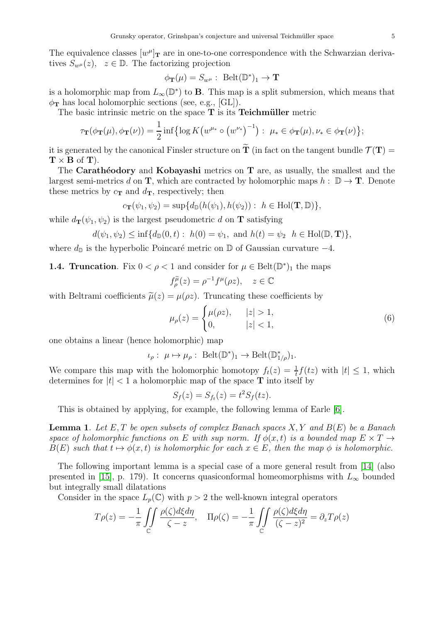The equivalence classes  $[w^{\mu}]_{\mathbf{T}}$  are in one-to-one correspondence with the Schwarzian derivatives  $S_{w^{\mu}}(z)$ ,  $z \in \mathbb{D}$ . The factorizing projection

$$
\phi_{\mathbf{T}}(\mu) = S_{w^{\mu}} : \ \mathrm{Belt}(\mathbb{D}^*)_1 \to \mathbf{T}
$$

is a holomorphic map from  $L_{\infty}(\mathbb{D}^*)$  to **B**. This map is a split submersion, which means that  $\phi_{\mathbf{T}}$  has local holomorphic sections (see, e.g., [GL]).

The basic intrinsic metric on the space  $T$  is its **Teichmüller** metric

$$
\tau_{\mathbf{T}}(\phi_{\mathbf{T}}(\mu), \phi_{\mathbf{T}}(\nu)) = \frac{1}{2} \inf \{ \log K \big( w^{\mu_*} \circ (w^{\nu_*})^{-1} \big) : \ \mu_* \in \phi_{\mathbf{T}}(\mu), \nu_* \in \phi_{\mathbf{T}}(\nu) \};
$$

it is generated by the canonical Finsler structure on  $\tilde{\bf{T}}$  (in fact on the tangent bundle  $\mathcal{T}({\bf T})$  =  $\mathbf{T} \times \mathbf{B}$  of  $\mathbf{T}$ ).

The Carathéodory and Kobayashi metrics on  $T$  are, as usually, the smallest and the largest semi-metrics d on T, which are contracted by holomorphic maps  $h : \mathbb{D} \to T$ . Denote these metrics by  $c_{\mathbf{T}}$  and  $d_{\mathbf{T}}$ , respectively; then

$$
c_{\mathbf{T}}(\psi_1, \psi_2) = \sup\{d_{\mathbb{D}}(h(\psi_1), h(\psi_2)) : h \in Hol(\mathbf{T}, \mathbb{D})\},\
$$

while  $d_{\mathbf{T}}(\psi_1, \psi_2)$  is the largest pseudometric d on **T** satisfying

$$
d(\psi_1, \psi_2) \leq \inf \{d_{\mathbb{D}}(0, t): h(0) = \psi_1, \text{ and } h(t) = \psi_2 \, h \in \text{Hol}(\mathbb{D}, \mathbf{T})\},
$$

where  $d_{\mathbb{D}}$  is the hyperbolic Poincaré metric on  $\mathbb{D}$  of Gaussian curvature  $-4$ .

**1.4. Truncation**. Fix  $0 < \rho < 1$  and consider for  $\mu \in \text{Belt}(\mathbb{D}^*)_1$  the maps

$$
f_{\rho}^{\widetilde{\mu}}(z) = \rho^{-1} f^{\mu}(\rho z), \quad z \in \mathbb{C}
$$

with Beltrami coefficients  $\tilde{\mu}(z) = \mu(\rho z)$ . Truncating these coefficients by

$$
\mu_{\rho}(z) = \begin{cases} \mu(\rho z), & |z| > 1, \\ 0, & |z| < 1, \end{cases} \tag{6}
$$

one obtains a linear (hence holomorphic) map

 $\iota_{\rho}: \mu \mapsto \mu_{\rho}: \text{ Belt}(\mathbb{D}^*)_1 \to \text{Belt}(\mathbb{D}^*_{1/\rho})_1.$ 

We compare this map with the holomorphic homotopy  $f_t(z) = \frac{1}{t} f(tz)$  with  $|t| \leq 1$ , which determines for  $|t| < 1$  a holomorphic map of the space **T** into itself by

$$
S_f(z) = S_{f_t}(z) = t^2 S_f(tz).
$$

This is obtained by applying, for example, the following lemma of Earle [\[6\]](#page-17-4).

**Lemma 1.** Let E, T be open subsets of complex Banach spaces  $X, Y$  and  $B(E)$  be a Banach space of holomorphic functions on E with sup norm. If  $\phi(x,t)$  is a bounded map  $E \times T \rightarrow$  $B(E)$  such that  $t \mapsto \phi(x, t)$  is holomorphic for each  $x \in E$ , then the map  $\phi$  is holomorphic.

The following important lemma is a special case of a more general result from [\[14\]](#page-17-5) (also presented in [\[15\]](#page-17-6), p. 179). It concerns quasiconformal homeomorphisms with  $L_{\infty}$  bounded but integrally small dilatations

Consider in the space  $L_p(\mathbb{C})$  with  $p > 2$  the well-known integral operators

$$
T\rho(z) = -\frac{1}{\pi} \iint\limits_{\mathbb{C}} \frac{\rho(\zeta)d\xi d\eta}{\zeta - z}, \quad \Pi\rho(\zeta) = -\frac{1}{\pi} \iint\limits_{\mathbb{C}} \frac{\rho(\zeta)d\xi d\eta}{(\zeta - z)^2} = \partial_z T\rho(z)
$$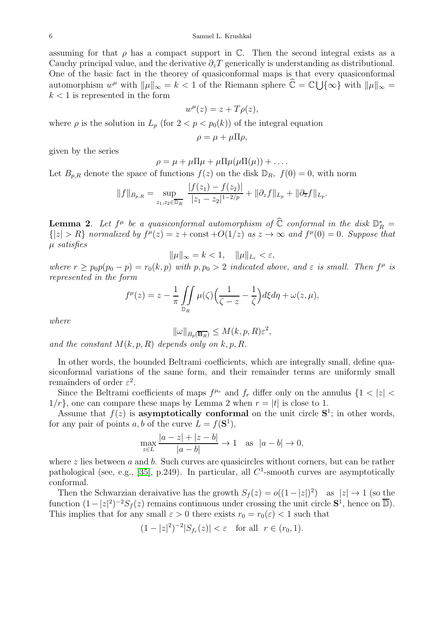assuming for that  $\rho$  has a compact support in C. Then the second integral exists as a Cauchy principal value, and the derivative  $\partial_z T$  generically is understanding as distributional. One of the basic fact in the theorey of quasiconformal maps is that every quasiconformal automorphism  $w^{\mu}$  with  $\|\mu\|_{\infty} = k < 1$  of the Riemann sphere  $\hat{\mathbb{C}} = \mathbb{C} \cup \{\infty\}$  with  $\|\mu\|_{\infty} =$  $k < 1$  is represented in the form

$$
w^{\mu}(z) = z + T\rho(z),
$$

where  $\rho$  is the solution in  $L_p$  (for  $2 < p < p_0(k)$ ) of the integral equation

$$
\rho = \mu + \mu \Pi \rho,
$$

given by the series

$$
\rho = \mu + \mu \Pi \mu + \mu \Pi \mu (\mu \Pi(\mu)) + \dots
$$

Let  $B_{p,R}$  denote the space of functions  $f(z)$  on the disk  $\mathbb{D}_R$ ,  $f(0) = 0$ , with norm

$$
||f||_{B_{p,R}} = \sup_{z_1,z_2 \in \overline{\mathbb{D}_R}} \frac{|f(z_1) - f(z_2)|}{|z_1 - z_2|^{1 - 2/p}} + ||\partial_z f||_{L_p} + ||\partial_{\overline{z}} f||_{L_p}.
$$

**Lemma 2.** Let  $f^{\mu}$  be a quasiconformal automorphism of  $\hat{\mathbb{C}}$  conformal in the disk  $\mathbb{D}_{R}^{*} =$  ${|z| > R}$  normalized by  $f^{\mu}(z) = z + \text{const} + O(1/z)$  as  $z \to \infty$  and  $f^{\mu}(0) = 0$ . Suppose that µ satisfies

$$
\|\mu\|_{\infty} = k < 1, \quad \|\mu\|_{L_r} < \varepsilon,
$$

where  $r \geq p_0 p(p_0 - p) = r_0(k, p)$  with  $p, p_0 > 2$  indicated above, and  $\varepsilon$  is small. Then  $f^{\mu}$  is represented in the form

$$
f^{\mu}(z) = z - \frac{1}{\pi} \iint\limits_{\mathbb{D}_R} \mu(\zeta) \left( \frac{1}{\zeta - z} - \frac{1}{\zeta} \right) d\xi d\eta + \omega(z, \mu),
$$

where

$$
\|\omega\|_{B_p(\overline{\mathbf{B}_R})} \leq M(k, p, R)\varepsilon^2,
$$

and the constant  $M(k, p, R)$  depends only on  $k, p, R$ .

In other words, the bounded Beltrami coefficients, which are integrally small, define quasiconformal variations of the same form, and their remainder terms are uniformly small remainders of order  $\varepsilon^2$ .

Since the Beltrami coefficients of maps  $f^{\mu_r}$  and  $f_r$  differ only on the annulus  $\{1 < |z| <$  $1/r$ , one can compare these maps by Lemma 2 when  $r = |t|$  is close to 1.

Assume that  $f(z)$  is **asymptotically conformal** on the unit circle  $S^1$ ; in other words, for any pair of points a, b of the curve  $L = f(\mathbf{S}^1)$ ,

$$
\max_{z \in L} \frac{|a - z| + |z - b|}{|a - b|} \to 1 \quad \text{as} \quad |a - b| \to 0,
$$

where  $z$  lies between  $a$  and  $b$ . Such curves are quasicircles without corners, but can be rather pathological (see, e.g., [\[35\]](#page-18-12), p.249). In particular, all  $C^1$ -smooth curves are asymptotically conformal.

Then the Schwarzian deraivative has the growth  $S_f(z) = o((1-|z|)^2)$  as  $|z| \to 1$  (so the function  $(1-|z|^2)^{-2}S_f(z)$  remains continuous under crossing the unit circle  $S^1$ , hence on  $\overline{\mathbb{D}}$ ). This implies that for any small  $\varepsilon > 0$  there exists  $r_0 = r_0(\varepsilon) < 1$  such that

$$
(1-|z|^2)^{-2}|S_{f_r}(z)| < \varepsilon \quad \text{for all} \ \ r \in (r_0, 1).
$$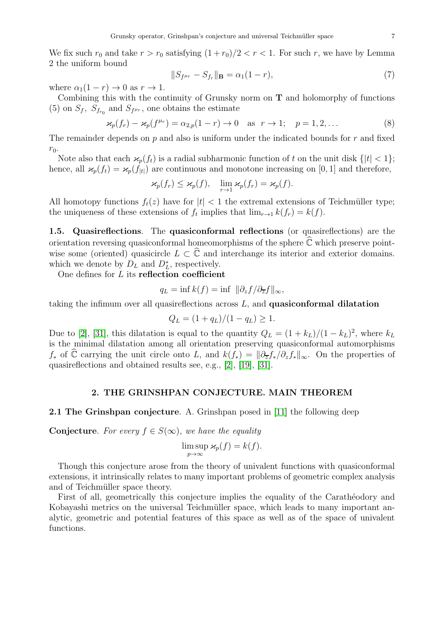We fix such  $r_0$  and take  $r > r_0$  satisfying  $(1 + r_0)/2 < r < 1$ . For such r, we have by Lemma 2 the uniform bound

$$
||S_{f^{\mu r}} - S_{f_r}||_{\mathbf{B}} = \alpha_1 (1 - r),
$$
\n(7)

where  $\alpha_1(1 - r) \to 0$  as  $r \to 1$ .

Combining this with the continuity of Grunsky norm on T and holomorphy of functions (5) on  $S_f$ ,  $S_{f_{r_0}}$  and  $S_{f^{\mu_r}}$ , one obtains the estimate

$$
\varkappa_p(f_r) - \varkappa_p(f^{\mu_r}) = \alpha_{2,p}(1-r) \to 0 \quad \text{as} \quad r \to 1; \quad p = 1, 2, \dots \tag{8}
$$

The remainder depends on  $p$  and also is uniform under the indicated bounds for  $r$  and fixed  $r_0$ .

Note also that each  $\varkappa_p(f_t)$  is a radial subharmonic function of t on the unit disk  $\{|t| < 1\};$ hence, all  $\varkappa_p(f_t) = \varkappa_p(f_{|t|})$  are continuous and monotone increasing on [0, 1] and therefore,

$$
\varkappa_p(f_r) \leq \varkappa_p(f), \quad \lim_{r \to 1} \varkappa_p(f_r) = \varkappa_p(f).
$$

All homotopy functions  $f_t(z)$  have for  $|t| < 1$  the extremal extensions of Teichmüller type; the uniqueness of these extensions of  $f_t$  implies that  $\lim_{r\to 1} k(f_r) = k(f)$ .

1.5. Quasireflections. The quasiconformal reflections (or quasireflections) are the orientation reversing quasiconformal homeomorphisms of the sphere  $\mathbb C$  which preserve pointwise some (oriented) quasicircle  $L \subset \widehat{\mathbb{C}}$  and interchange its interior and exterior domains. which we denote by  $D<sub>L</sub>$  and  $D<sup>*</sup><sub>L</sub>$ , respectively.

One defines for  $L$  its reflection coefficient

$$
q_L = \inf k(f) = \inf \|\partial_z f/\partial_{\overline{z}} f\|_{\infty},
$$

taking the infimum over all quasireflections across  $L$ , and **quasiconformal dilatation** 

$$
Q_L = (1 + q_L)/(1 - q_L) \ge 1.
$$

Due to [\[2\]](#page-17-7), [\[31\]](#page-18-13), this dilatation is equal to the quantity  $Q_L = (1 + k_L)/(1 - k_L)^2$ , where  $k_L$ is the minimal dilatation among all orientation preserving quasiconformal automorphisms  $f_*$  of  $\hat{\mathbb{C}}$  carrying the unit circle onto L, and  $k(f_*) = ||\partial_{\overline{z}}f_*/\partial_{z}f_*||_{\infty}$ . On the properties of quasireflections and obtained results see, e.g., [\[2\]](#page-17-7), [\[19\]](#page-18-2), [\[31\]](#page-18-13).

## 2. THE GRINSHPAN CONJECTURE. MAIN THEOREM

## 2.1 The Grinshpan conjecture. A. Grinshpan posed in [\[11\]](#page-17-8) the following deep

Conjecture. For every  $f \in S(\infty)$ , we have the equality

$$
\limsup_{p \to \infty} \varkappa_p(f) = k(f).
$$

Though this conjecture arose from the theory of univalent functions with quasiconformal extensions, it intrinsically relates to many important problems of geometric complex analysis and of Teichmüller space theory.

First of all, geometrically this conjecture implies the equality of the Carathéodory and Kobayashi metrics on the universal Teichmüller space, which leads to many important analytic, geometric and potential features of this space as well as of the space of univalent functions.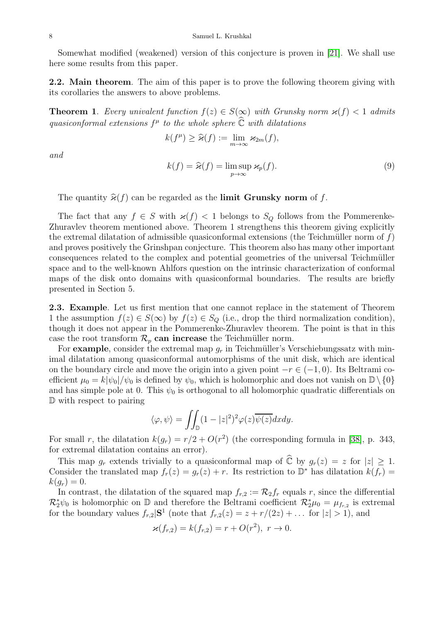Somewhat modified (weakened) version of this conjecture is proven in [\[21\]](#page-18-11). We shall use here some results from this paper.

2.2. Main theorem. The aim of this paper is to prove the following theorem giving with its corollaries the answers to above problems.

**Theorem 1.** Every univalent function  $f(z) \in S(\infty)$  with Grunsky norm  $\varkappa(f) < 1$  admits quasiconformal extensions  $f^{\mu}$  to the whole sphere  $\widehat{\mathbb{C}}$  with dilatations

$$
k(f^{\mu}) \geq \widehat{\varkappa}(f) := \lim_{m \to \infty} \varkappa_{2m}(f),
$$

and

$$
k(f) = \widehat{\varkappa}(f) = \limsup_{p \to \infty} \varkappa_p(f). \tag{9}
$$

The quantity  $\hat{\varkappa}(f)$  can be regarded as the limit Grunsky norm of f.

The fact that any  $f \in S$  with  $\varkappa(f) < 1$  belongs to  $S_Q$  follows from the Pommerenke-Zhuravlev theorem mentioned above. Theorem 1 strengthens this theorem giving explicitly the extremal dilatation of admissible quasiconformal extensions (the Teichmüller norm of  $f$ ) and proves positively the Grinshpan conjecture. This theorem also has many other important consequences related to the complex and potential geometries of the universal Teichmüller space and to the well-known Ahlfors question on the intrinsic characterization of conformal maps of the disk onto domains with quasiconformal boundaries. The results are briefly presented in Section 5.

2.3. Example. Let us first mention that one cannot replace in the statement of Theorem 1 the assumption  $f(z) \in S(\infty)$  by  $f(z) \in S_Q$  (i.e., drop the third normalization condition), though it does not appear in the Pommerenke-Zhuravlev theorem. The point is that in this case the root transform  $\mathcal{R}_p$  can increase the Teichmüller norm.

For example, consider the extremal map  $g_r$  in Teichmüller's Verschiebungssatz with minimal dilatation among quasiconformal automorphisms of the unit disk, which are identical on the boundary circle and move the origin into a given point  $-r \in (-1,0)$ . Its Beltrami coefficient  $\mu_0 = k|\psi_0|/\psi_0$  is defined by  $\psi_0$ , which is holomorphic and does not vanish on  $\mathbb{D}\setminus\{0\}$ and has simple pole at 0. This  $\psi_0$  is orthogonal to all holomorphic quadratic differentials on D with respect to pairing

$$
\langle \varphi, \psi \rangle = \iint_{\mathbb{D}} (1 - |z|^2)^2 \varphi(z) \overline{\psi(z)} dx dy.
$$

For small r, the dilatation  $k(g_r) = r/2 + O(r^2)$  (the corresponding formula in [\[38\]](#page-18-14), p. 343, for extremal dilatation contains an error).

This map  $g_r$  extends trivially to a quasiconformal map of  $\widehat{\mathbb{C}}$  by  $g_r(z) = z$  for  $|z| \geq 1$ . Consider the translated map  $f_r(z) = g_r(z) + r$ . Its restriction to  $\mathbb{D}^*$  has dilatation  $k(f_r) =$  $k(g_r) = 0.$ 

In contrast, the dilatation of the squared map  $f_{r,2} := \mathcal{R}_2 f_r$  equals r, since the differential  $\mathcal{R}_2^*\psi_0$  is holomorphic on D and therefore the Beltrami coefficient  $\mathcal{R}_2^*\mu_0 = \mu_{f_{r,2}}$  is extremal for the boundary values  $f_{r,2}|\mathbf{S}^1$  (note that  $f_{r,2}(z) = z + r/(2z) + \dots$  for  $|z| > 1$ ), and

$$
\varkappa(f_{r,2}) = k(f_{r,2}) = r + O(r^2), \ r \to 0.
$$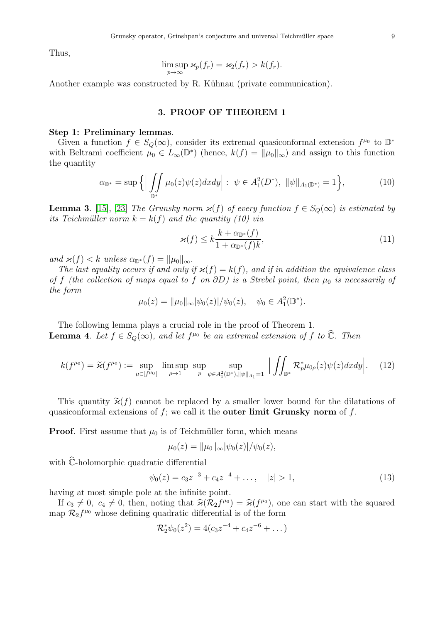Thus,

$$
\limsup_{p\to\infty} \varkappa_p(f_r) = \varkappa_2(f_r) > k(f_r).
$$

Another example was constructed by R. Kühnau (private communication).

## 3. PROOF OF THEOREM 1

#### Step 1: Preliminary lemmas.

Given a function  $f \in S_Q(\infty)$ , consider its extremal quasiconformal extension  $f^{\mu_0}$  to  $\mathbb{D}^*$ with Beltrami coefficient  $\mu_0 \in L_\infty(\mathbb{D}^*)$  (hence,  $k(f) = ||\mu_0||_\infty$ ) and assign to this function the quantity

$$
\alpha_{\mathbb{D}^*} = \sup \Big\{ \Big| \iint\limits_{\mathbb{D}^*} \mu_0(z) \psi(z) dx dy \Big| : \ \psi \in A_1^2(D^*), \ \|\psi\|_{A_1(\mathbb{D}^*)} = 1 \Big\},\tag{10}
$$

**Lemma 3.** [\[15\]](#page-17-6), [\[23\]](#page-18-0) The Grunsky norm  $\varkappa(f)$  of every function  $f \in S_Q(\infty)$  is estimated by its Teichmüller norm  $k = k(f)$  and the quantity (10) via

$$
\varkappa(f) \le k \frac{k + \alpha_{\mathbb{D}^*}(f)}{1 + \alpha_{\mathbb{D}^*}(f)k},\tag{11}
$$

and  $\varkappa(f) < k$  unless  $\alpha_{\mathbb{D}^*}(f) = ||\mu_0||_{\infty}$ .

The last equality occurs if and only if  $\varkappa(f) = k(f)$ , and if in addition the equivalence class of f (the collection of maps equal to f on  $\partial D$ ) is a Strebel point, then  $\mu_0$  is necessarily of the form

$$
\mu_0(z) = \|\mu_0\|_{\infty} |\psi_0(z)|/\psi_0(z), \quad \psi_0 \in A_1^2(\mathbb{D}^*).
$$

The following lemma plays a crucial role in the proof of Theorem 1. **Lemma 4.** Let  $f \in S_Q(\infty)$ , and let  $f^{\mu_0}$  be an extremal extension of f to  $\widehat{\mathbb{C}}$ . Then

$$
k(f^{\mu_0}) = \widetilde{\varkappa}(f^{\mu_0}) := \sup_{\mu \in [f^{\mu_0}]} \limsup_{\rho \to 1} \sup_{p} \sup_{\psi \in A_1^2(\mathbb{D}^*), \|\psi\|_{A_1} = 1} \left| \iint_{\mathbb{D}^*} R_p^* \mu_{0\rho}(z) \psi(z) dx dy \right|.
$$
 (12)

This quantity  $\tilde{\varkappa}(f)$  cannot be replaced by a smaller lower bound for the dilatations of quasiconformal extensions of  $f$ ; we call it the **outer limit Grunsky norm** of  $f$ .

**Proof.** First assume that  $\mu_0$  is of Teichmüller form, which means

$$
\mu_0(z) = \|\mu_0\|_{\infty} |\psi_0(z)|/\psi_0(z),
$$

with  $\hat{\mathbb{C}}$ -holomorphic quadratic differential

$$
\psi_0(z) = c_3 z^{-3} + c_4 z^{-4} + \dots, \quad |z| > 1,
$$
\n(13)

having at most simple pole at the infinite point.

If  $c_3 \neq 0$ ,  $c_4 \neq 0$ , then, noting that  $\hat{\varkappa}(\mathcal{R}_2 f^{\mu_0}) = \hat{\varkappa}(f^{\mu_0})$ , one can start with the squared map  $\mathcal{R}_2 f^{\mu_0}$  whose defining quadratic differential is of the form

$$
\mathcal{R}_2^* \psi_0(z^2) = 4(c_3 z^{-4} + c_4 z^{-6} + \dots)
$$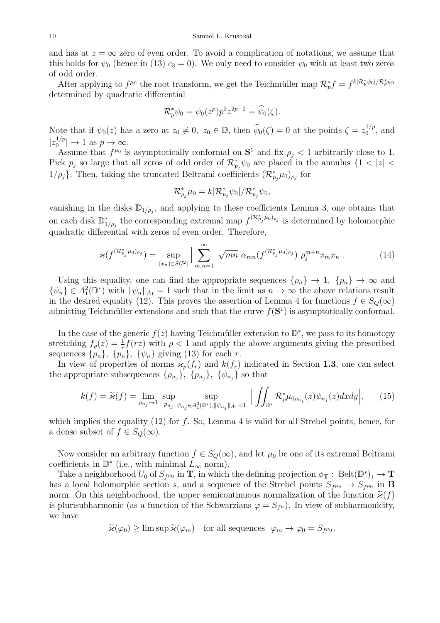#### 10 Samuel L. Krushkal

and has at  $z = \infty$  zero of even order. To avoid a complication of notations, we assume that this holds for  $\psi_0$  (hence in (13)  $c_3 = 0$ ). We only need to consider  $\psi_0$  with at least two zeros of odd order.

After applying to  $f^{\mu_0}$  the root transform, we get the Teichmüller map  $\mathcal{R}_p^* f = f^{k|\mathcal{R}_p^*\psi_0|/\mathcal{R}_p^*\psi_0}$ determined by quadratic differential

$$
\mathcal{R}_p^* \psi_0 = \psi_0(z^p) p^2 z^{2p-2} = \widehat{\psi}_0(\zeta).
$$

Note that if  $\psi_0(z)$  has a zero at  $z_0 \neq 0$ ,  $z_0 \in \mathbb{D}$ , then  $\widehat{\psi}_0(\zeta) = 0$  at the points  $\zeta = z_0^{1/p}$  $_0^{1/p}$ , and  $|z_0^{1/p}$  $\vert 0^{1/p} \vert \to 1$  as  $p \to \infty$ .

Assume that  $f^{\mu_0}$  is asymptotically conformal on  $S^1$  and fix  $\rho_j < 1$  arbitrarily close to 1. Pick  $p_j$  so large that all zeros of odd order of  $\mathcal{R}^*_{p_j}\psi_0$  are placed in the annulus  $\{1 < |z| < \infty\}$  $1/\rho_j$ }. Then, taking the truncated Beltrami coefficients  $(\mathcal{R}^*_{p_j}\mu_0)_{\rho_j}$  for

$$
\mathcal{R}_{p_j}^* \mu_0 = k |\mathcal{R}_{p_j}^* \psi_0| / \mathcal{R}_{p_j}^* \psi_0,
$$

vanishing in the disks  $\mathbb{D}_{1/\rho_j}$ , and applying to these coefficients Lemma 3, one obtains that on each disk  $\mathbb{D}_{1/\rho_j}^*$  the corresponding extremal map  $f^{(\mathcal{R}_{p_j}^*\mu_0)_{\rho_j}}$  is determined by holomorphic quadratic differential with zeros of even order. Therefore,

$$
\varkappa(f^{(\mathcal{R}_{p_j}^* \mu_0)_{\rho_j}}) = \sup_{(x_n) \in S(l^2)} \Big| \sum_{m,n=1}^{\infty} \sqrt{mn} \, \alpha_{mn}(f^{(\mathcal{R}_{p_j}^* \mu_0)_{\rho_j}}) \, \rho_j^{m+n} x_m x_n \Big| \,. \tag{14}
$$

Using this equality, one can find the appropriate sequences  $\{\rho_n\} \to 1$ ,  $\{p_n\} \to \infty$  and  $\{\psi_n\} \in A_1^2(\mathbb{D}^*)$  with  $\|\psi_n\|_{A_1} = 1$  such that in the limit as  $n \to \infty$  the above relations result in the desired equality (12). This proves the assertion of Lemma 4 for functions  $f \in S_Q(\infty)$ admitting Teichmüller extensions and such that the curve  $f(\mathbf{S}^1)$  is asymptotically conformal.

In the case of the generic  $f(z)$  having Teichmüller extension to  $\mathbb{D}^*$ , we pass to its homotopy stretching  $f_{\rho}(z) = \frac{1}{r} f(rz)$  with  $\rho < 1$  and apply the above arguments giving the prescribed sequences  $\{\rho_n\}, \{\psi_n\}, \{\psi_n\}$  giving (13) for each r.

In view of properties of norms  $\varkappa_p(f_r)$  and  $k(f_r)$  indicated in Section 1.3, one can select the appropriate subsequences  $\{\rho_{n_j}\}, \{\gamma_{n_j}\}, \{\psi_{n_j}\}\$  so that

$$
k(f) = \widetilde{\varkappa}(f) = \lim_{\rho_{n_j} \to 1} \sup_{p_{n_j} \text{ up}} \sup_{\psi_{n_j} \in A_1^2(\mathbb{D}^*), ||\psi_{n_j}||_{A_1} = 1} \left| \iint_{\mathbb{D}^*} R_p^* \mu_{0\rho_{n_j}}(z) \psi_{n_j}(z) dx dy \right|, \tag{15}
$$

which implies the equality  $(12)$  for f. So, Lemma 4 is valid for all Strebel points, hence, for a dense subset of  $f \in S_Q(\infty)$ .

Now consider an arbitrary function  $f \in S_Q(\infty)$ , and let  $\mu_0$  be one of its extremal Beltrami coefficients in  $\mathbb{D}^*$  (i.e., with minimal  $\tilde{L}_{\infty}$  norm).

Take a neighborhood  $U_0$  of  $S_{f^{\mu_0}}$  in **T**, in which the defining projection  $\phi_{\mathbf{T}} : \text{Belt}(\mathbb{D}^*)_1 \to \mathbf{T}$ has a local holomorphic section s, and a sequence of the Strebel points  $S_{f^{\mu_n}} \to S_{f^{\mu_0}}$  in **B** norm. On this neighborhood, the upper semicontinuous normalization of the function  $\tilde{\varkappa}(f)$ is plurisubharmonic (as a function of the Schwarzians  $\varphi = S_{f^{\mu}}$ ). In view of subharmonicity, we have

 $\widetilde{\varkappa}(\varphi_0) \ge \limsup \widetilde{\varkappa}(\varphi_m)$  for all sequences  $\varphi_m \to \varphi_0 = S_{f^{\mu_0}}$ .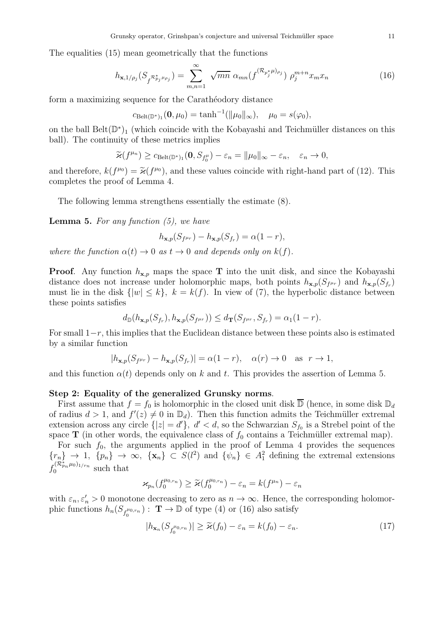The equalities (15) mean geometrically that the functions

$$
h_{\mathbf{x},1/\rho_j}(S_{f^{\mathcal{R}_{p_j}^* \mu_{\rho_j}}}) = \sum_{m,n=1}^{\infty} \sqrt{mn} \alpha_{mn} (f^{(\mathcal{R}_{p_j^*} \mu)_{\rho_j}}) \rho_j^{m+n} x_m x_n \tag{16}
$$

form a maximizing sequence for the Caratheodory distance

$$
c_{\text{Belt}(\mathbb{D}^*)_1}(\mathbf{0}, \mu_0) = \tanh^{-1}(\|\mu_0\|_{\infty}), \quad \mu_0 = s(\varphi_0),
$$

on the ball  $\text{Belt}(\mathbb{D}^*)_1$  (which coincide with the Kobayashi and Teichmüller distances on this ball). The continuity of these metrics implies

$$
\widetilde{\varkappa}(f^{\mu_n}) \geq c_{\text{Belt}(\mathbb{D}^*)_1}(\mathbf{0}, S_{f_0^{\mu}}) - \varepsilon_n = \|\mu_0\|_{\infty} - \varepsilon_n, \quad \varepsilon_n \to 0,
$$

and therefore,  $k(f^{\mu_0}) = \tilde{\varkappa}(f^{\mu_0})$ , and these values coincide with right-hand part of (12). This completes the proof of Lemma 4.

The following lemma strengthens essentially the estimate (8).

**Lemma 5.** For any function  $(5)$ , we have

$$
h_{\mathbf{x},p}(S_{f^{\mu r}}) - h_{\mathbf{x},p}(S_{f_r}) = \alpha(1-r),
$$

where the function  $\alpha(t) \to 0$  as  $t \to 0$  and depends only on  $k(f)$ .

**Proof.** Any function  $h_{\mathbf{x},p}$  maps the space **T** into the unit disk, and since the Kobayashi distance does not increase under holomorphic maps, both points  $h_{\mathbf{x},p}(S_{f^{\mu r}})$  and  $h_{\mathbf{x},p}(S_{f^r})$ must lie in the disk  $\{|w| \leq k\}$ ,  $k = k(f)$ . In view of (7), the hyperbolic distance between these points satisfies

$$
d_{\mathbb{D}}(h_{\mathbf{x},p}(S_{f_r}),h_{\mathbf{x},p}(S_{f^{\mu_r}}))\leq d_{\mathbf{T}}(S_{f^{\mu_r}},S_{f_r})=\alpha_1(1-r).
$$

For small  $1-r$ , this implies that the Euclidean distance between these points also is estimated by a similar function

$$
|h_{\mathbf{x},p}(S_{f^{\mu_r}}) - h_{\mathbf{x},p}(S_{f_r})| = \alpha(1-r), \quad \alpha(r) \to 0 \quad \text{as} \quad r \to 1,
$$

and this function  $\alpha(t)$  depends only on k and t. This provides the assertion of Lemma 5.

#### Step 2: Equality of the generalized Grunsky norms.

First assume that  $f = f_0$  is holomorphic in the closed unit disk  $\overline{D}$  (hence, in some disk  $D_d$ of radius  $d > 1$ , and  $f'(z) \neq 0$  in  $\mathbb{D}_d$ ). Then this function admits the Teichmüller extremal extension across any circle  $\{|z| = d'\}$ ,  $d' < d$ , so the Schwarzian  $S_{f_0}$  is a Strebel point of the space T (in other words, the equivalence class of  $f_0$  contains a Teichmüller extremal map).

For such  $f_0$ , the arguments applied in the proof of Lemma 4 provides the sequences  ${n \choose n} \rightarrow 1$ ,  ${p_n} \rightarrow \infty$ ,  ${\mathbf{x}_n} \subset S(l^2)$  and  ${\psi_n} \in A_1^2$  defining the extremal extensions  $f_0^{(\mathcal{R}^*_{p_n}\mu_0)_{1/r_n}}$  $\int_0^{(\infty p_n \mu_0)}$  such that

$$
\varkappa_{p_n}(f_0^{\mu_{0,r_n}}) \geq \widetilde{\varkappa}(f_0^{\mu_{0,r_n}}) - \varepsilon_n = k(f^{\mu_n}) - \varepsilon_n
$$

with  $\varepsilon_n, \varepsilon'_n > 0$  monotone decreasing to zero as  $n \to \infty$ . Hence, the corresponding holomorphic functions  $h_n(S_{f_0^{\mu_0,r_n}})$ :  $\mathbf{T} \to \mathbb{D}$  of type (4) or (16) also satisfy

$$
|h_{\mathbf{x}_n}(S_{f_0^{\mu_0,r_n}})| \ge \widetilde{\varkappa}(f_0) - \varepsilon_n = k(f_0) - \varepsilon_n. \tag{17}
$$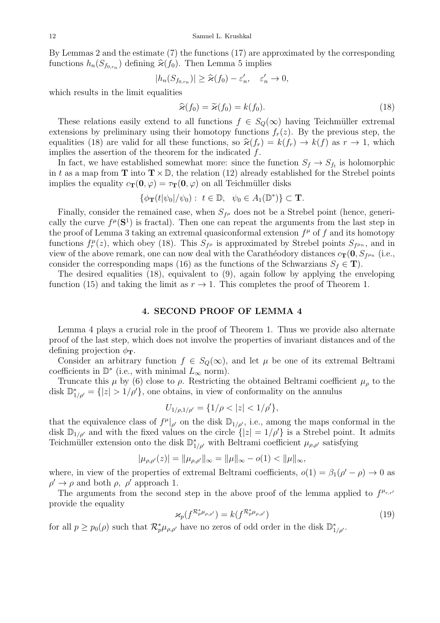By Lemmas 2 and the estimate (7) the functions (17) are approximated by the corresponding functions  $h_n(S_{f_{0,r_n}})$  defining  $\widehat{\varkappa}(f_0)$ . Then Lemma 5 implies

$$
|h_n(S_{f_{0,r_n}})| \geq \widehat{\varkappa}(f_0) - \varepsilon'_n, \quad \varepsilon'_n \to 0,
$$

which results in the limit equalities

$$
\widehat{\varkappa}(f_0) = \widetilde{\varkappa}(f_0) = k(f_0). \tag{18}
$$

These relations easily extend to all functions  $f \in S<sub>O</sub>(\infty)$  having Teichmüller extremal extensions by preliminary using their homotopy functions  $f_r(z)$ . By the previous step, the equalities (18) are valid for all these functions, so  $\hat{\varkappa}(f_r) = k(f_r) \rightarrow k(f)$  as  $r \rightarrow 1$ , which implies the assertion of the theorem for the indicated f.

In fact, we have established somewhat more: since the function  $S_f \to S_{f_t}$  is holomorphic in t as a map from **T** into  $T \times \mathbb{D}$ , the relation (12) already established for the Strebel points implies the equality  $c_{\mathbf{T}}(\mathbf{0}, \varphi) = \tau_{\mathbf{T}}(\mathbf{0}, \varphi)$  on all Teichmüller disks

$$
\{\phi_{\mathbf{T}}(t|\psi_0|/\psi_0): t \in \mathbb{D}, \ \psi_0 \in A_1(\mathbb{D}^*)\} \subset \mathbf{T}.
$$

Finally, consider the remained case, when  $S_{f^{\mu}}$  does not be a Strebel point (hence, generically the curve  $f^{\mu}(\mathbf{S}^1)$  is fractal). Then one can repeat the arguments from the last step in the proof of Lemma 3 taking an extremal quasiconformal extension  $f^{\mu}$  of f and its homotopy functions  $f_r^{\mu}(z)$ , which obey (18). This  $S_{f^{\mu}}$  is approximated by Strebel points  $S_{f^{\mu n}}$ , and in view of the above remark, one can now deal with the Carathéodory distances  $c_{\mathbf{T}}(\mathbf{0}, S_{f^{\mu_n}})$  (i.e., consider the corresponding maps (16) as the functions of the Schwarzians  $S_f \in \mathbf{T}$ ).

The desired equalities (18), equivalent to (9), again follow by applying the enveloping function (15) and taking the limit as  $r \to 1$ . This completes the proof of Theorem 1.

## 4. SECOND PROOF OF LEMMA 4

Lemma 4 plays a crucial role in the proof of Theorem 1. Thus we provide also alternate proof of the last step, which does not involve the properties of invariant distances and of the defining projection  $\phi_{\bf T}$ .

Consider an arbitrary function  $f \in S_Q(\infty)$ , and let  $\mu$  be one of its extremal Beltrami coefficients in  $\mathbb{D}^*$  (i.e., with minimal  $L_{\infty}$  norm).

Truncate this  $\mu$  by (6) close to  $\rho$ . Restricting the obtained Beltrami coefficient  $\mu_{\rho}$  to the disk  $\mathbb{D}_{1/\rho'}^* = \{|z| > 1/\rho'\}$ , one obtains, in view of conformality on the annulus

$$
U_{1/\rho,1/\rho'} = \{1/\rho < |z| < 1/\rho'\},\
$$

that the equivalence class of  $f^{\mu}|_{\rho'}$  on the disk  $\mathbb{D}_{1/\rho'}$ , i.e., among the maps conformal in the disk  $\mathbb{D}_{1/\rho'}$  and with the fixed values on the circle  $\{|z|=1/\rho'\}$  is a Strebel point. It admits Teichmüller extension onto the disk  $\mathbb{D}_{1/\rho'}^*$  with Beltrami coefficient  $\mu_{\rho,\rho'}$  satisfying

$$
|\mu_{\rho,\rho'}(z)| = ||\mu_{\rho,\rho'}||_{\infty} = ||\mu||_{\infty} - o(1) < ||\mu||_{\infty},
$$

where, in view of the properties of extremal Beltrami coefficients,  $o(1) = \beta_1(\rho' - \rho) \rightarrow 0$  as  $\rho' \rightarrow \rho$  and both  $\rho$ ,  $\rho'$  approach 1.

The arguments from the second step in the above proof of the lemma applied to  $f^{\mu_{r,r'}}$ provide the equality

$$
\varkappa_p(f^{\mathcal{R}_p^*\mu_{\rho,\rho'}}) = k(f^{\mathcal{R}_p^*\mu_{\rho,\rho'}})
$$
\n(19)

for all  $p \ge p_0(\rho)$  such that  $\mathcal{R}_p^*\mu_{\rho,\rho'}$  have no zeros of odd order in the disk  $\mathbb{D}_{1/\rho'}^*$ .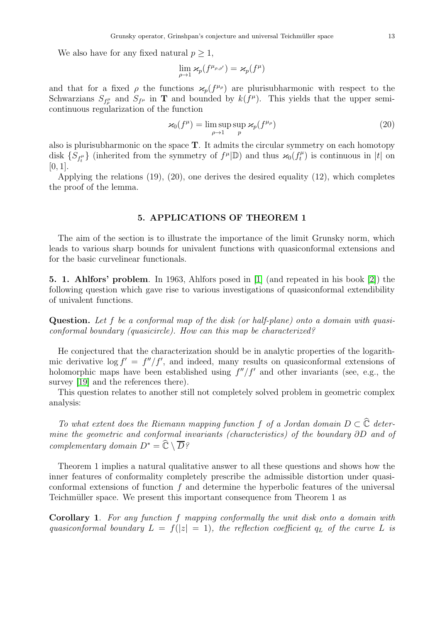We also have for any fixed natural  $p \geq 1$ ,

$$
\lim_{\rho \to 1} \varkappa_p(f^{\mu_{\rho,\rho'}}) = \varkappa_p(f^\mu)
$$

and that for a fixed  $\rho$  the functions  $\varkappa_p(f^{\mu_\rho})$  are plurisubharmonic with respect to the Schwarzians  $S_{f^{\mu}}$  and  $S_{f^{\mu}}$  in **T** and bounded by  $k(f^{\mu})$ . This yields that the upper semicontinuous regularization of the function

$$
\varkappa_0(f^{\mu}) = \limsup_{\rho \to 1} \sup_p \varkappa_p(f^{\mu_\rho})
$$
\n(20)

also is plurisubharmonic on the space  $T$ . It admits the circular symmetry on each homotopy disk  $\{S_{f_t^{\mu}}\}$  (inherited from the symmetry of  $f^{\mu}|\mathbb{D}$ ) and thus  $\varkappa_0(f_t^{\mu})$  $t<sub>t</sub><sup>\mu</sup>$  is continuous in |t| on  $[0, 1]$ .

Applying the relations (19), (20), one derives the desired equality (12), which completes the proof of the lemma.

## 5. APPLICATIONS OF THEOREM 1

The aim of the section is to illustrate the importance of the limit Grunsky norm, which leads to various sharp bounds for univalent functions with quasiconformal extensions and for the basic curvelinear functionals.

5. 1. Ahlfors' problem. In 1963, Ahlfors posed in [\[1\]](#page-17-9) (and repeated in his book [\[2\]](#page-17-7)) the following question which gave rise to various investigations of quasiconformal extendibility of univalent functions.

Question. Let f be a conformal map of the disk (or half-plane) onto a domain with quasiconformal boundary (quasicircle). How can this map be characterized?

He conjectured that the characterization should be in analytic properties of the logarithmic derivative  $\log f' = f''/f'$ , and indeed, many results on quasiconformal extensions of holomorphic maps have been established using  $f''/f'$  and other invariants (see, e.g., the survey [\[19\]](#page-18-2) and the references there).

This question relates to another still not completely solved problem in geometric complex analysis:

To what extent does the Riemann mapping function f of a Jordan domain  $D \subset \hat{\mathbb{C}}$  determine the geometric and conformal invariants (characteristics) of the boundary ∂D and of complementary domain  $D^* = \widehat{\mathbb{C}} \setminus \overline{D}$ ?

Theorem 1 implies a natural qualitative answer to all these questions and shows how the inner features of conformality completely prescribe the admissible distortion under quasiconformal extensions of function  $f$  and determine the hyperbolic features of the universal Teichmüller space. We present this important consequence from Theorem 1 as

Corollary 1. For any function f mapping conformally the unit disk onto a domain with quasiconformal boundary  $L = f(|z| = 1)$ , the reflection coefficient  $q_L$  of the curve L is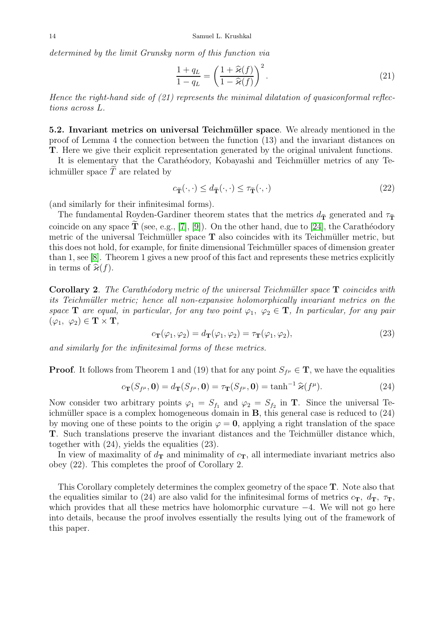determined by the limit Grunsky norm of this function via

$$
\frac{1+q_L}{1-q_L} = \left(\frac{1+\widehat{\varkappa}(f)}{1-\widehat{\varkappa}(f)}\right)^2.
$$
\n(21)

Hence the right-hand side of  $(21)$  represents the minimal dilatation of quasiconformal reflections across L.

5.2. Invariant metrics on universal Teichmüller space. We already mentioned in the proof of Lemma 4 the connection between the function (13) and the invariant distances on T. Here we give their explicit representation generated by the original univalent functions.

It is elementary that the Carathéodory, Kobayashi and Teichmüller metrics of any Teichmüller space  $\tilde{T}$  are related by

$$
c_{\tilde{\mathbf{T}}}(\cdot,\cdot) \le d_{\tilde{\mathbf{T}}}(\cdot,\cdot) \le \tau_{\tilde{\mathbf{T}}}(\cdot,\cdot) \tag{22}
$$

(and similarly for their infinitesimal forms).

The fundamental Royden-Gardiner theorem states that the metrics  $d_{\tilde{\mathbf{T}}}$  generated and  $\tau_{\tilde{\mathbf{T}}}$ coincide on any space  $\mathbf T$  (see, e.g., [\[7\]](#page-17-10), [\[9\]](#page-17-2)). On the other hand, due to [\[24\]](#page-18-15), the Carathéodory metric of the universal Teichmüller space  $T$  also coincides with its Teichmüller metric, but this does not hold, for example, for finite dimensional Teichmüller spaces of dimension greater than 1, see [\[8\]](#page-17-11). Theorem 1 gives a new proof of this fact and represents these metrics explicitly in terms of  $\hat{\varkappa}(f)$ .

**Corollary 2.** The Carathéodory metric of the universal Teichmüller space  $\mathbf{T}$  coincides with its Teichmüller metric; hence all non-expansive holomorphically invariant metrics on the space **T** are equal, in particular, for any two point  $\varphi_1, \varphi_2 \in \mathbf{T}$ , In particular, for any pair  $(\varphi_1, \varphi_2) \in \mathbf{T} \times \mathbf{T},$ 

$$
c_{\mathbf{T}}(\varphi_1, \varphi_2) = d_{\mathbf{T}}(\varphi_1, \varphi_2) = \tau_{\mathbf{T}}(\varphi_1, \varphi_2), \tag{23}
$$

and similarly for the infinitesimal forms of these metrics.

**Proof.** It follows from Theorem 1 and (19) that for any point  $S_{f^{\mu}} \in \mathbf{T}$ , we have the equalities

$$
c_{\mathbf{T}}(S_{f^{\mu}},\mathbf{0})=d_{\mathbf{T}}(S_{f^{\mu}},\mathbf{0})=\tau_{\mathbf{T}}(S_{f^{\mu}},\mathbf{0})=\tanh^{-1}\widehat{\varkappa}(f^{\mu}).
$$
\n(24)

Now consider two arbitrary points  $\varphi_1 = S_{f_1}$  and  $\varphi_2 = S_{f_2}$  in **T**. Since the universal Teichmüller space is a complex homogeneous domain in  $B$ , this general case is reduced to  $(24)$ by moving one of these points to the origin  $\varphi = 0$ , applying a right translation of the space T. Such translations preserve the invariant distances and the Teichmüller distance which, together with (24), yields the equalities (23).

In view of maximality of  $d_{\mathbf{T}}$  and minimality of  $c_{\mathbf{T}}$ , all intermediate invariant metrics also obey (22). This completes the proof of Corollary 2.

This Corollary completely determines the complex geometry of the space T. Note also that the equalities similar to (24) are also valid for the infinitesimal forms of metrics  $c_T$ ,  $d_T$ ,  $\tau_T$ , which provides that all these metrics have holomorphic curvature  $-4$ . We will not go here into details, because the proof involves essentially the results lying out of the framework of this paper.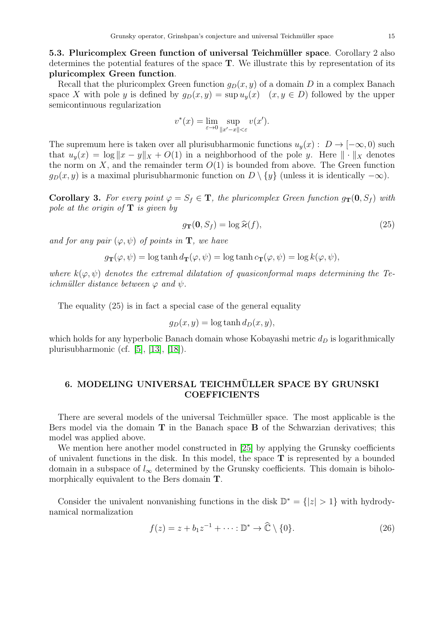5.3. Pluricomplex Green function of universal Teichmüller space. Corollary 2 also determines the potential features of the space T. We illustrate this by representation of its pluricomplex Green function.

Recall that the pluricomplex Green function  $q_D(x, y)$  of a domain D in a complex Banach space X with pole y is defined by  $g_D(x, y) = \sup u_y(x)$   $(x, y \in D)$  followed by the upper semicontinuous regularization

$$
v^*(x) = \lim_{\varepsilon \to 0} \sup_{\|x' - x\| < \varepsilon} v(x').
$$

The supremum here is taken over all plurisubharmonic functions  $u_y(x) : D \to [-\infty, 0)$  such that  $u_y(x) = \log ||x - y||_X + O(1)$  in a neighborhood of the pole y. Here  $|| \cdot ||_X$  denotes the norm on X, and the remainder term  $O(1)$  is bounded from above. The Green function  $g_D(x, y)$  is a maximal plurisubharmonic function on  $D \setminus \{y\}$  (unless it is identically  $-\infty$ ).

**Corollary 3.** For every point  $\varphi = S_f \in \mathbf{T}$ , the pluricomplex Green function  $g_{\mathbf{T}}(\mathbf{0}, S_f)$  with pole at the origin of  $\mathbf T$  is given by

$$
g_{\mathbf{T}}(\mathbf{0}, S_f) = \log \widehat{\mathbf{x}}(f),\tag{25}
$$

and for any pair  $(\varphi, \psi)$  of points in **T**, we have

$$
g_{\mathbf{T}}(\varphi, \psi) = \log \tanh d_{\mathbf{T}}(\varphi, \psi) = \log \tanh c_{\mathbf{T}}(\varphi, \psi) = \log k(\varphi, \psi),
$$

where  $k(\varphi, \psi)$  denotes the extremal dilatation of quasiconformal maps determining the Teichmüller distance between  $\varphi$  and  $\psi$ .

The equality (25) is in fact a special case of the general equality

$$
g_D(x, y) = \log \tanh d_D(x, y),
$$

which holds for any hyperbolic Banach domain whose Kobayashi metric  $d<sub>D</sub>$  is logarithmically plurisubharmonic (cf. [\[5\]](#page-17-12), [\[13\]](#page-17-13), [\[18\]](#page-18-16)).

# 6. MODELING UNIVERSAL TEICHMÜLLER SPACE BY GRUNSKI **COEFFICIENTS**

There are several models of the universal Teichmüller space. The most applicable is the Bers model via the domain **T** in the Banach space **B** of the Schwarzian derivatives; this model was applied above.

We mention here another model constructed in [\[25\]](#page-18-17) by applying the Grunsky coefficients of univalent functions in the disk. In this model, the space T is represented by a bounded domain in a subspace of  $l_{\infty}$  determined by the Grunsky coefficients. This domain is biholomorphically equivalent to the Bers domain T.

Consider the univalent nonvanishing functions in the disk  $\mathbb{D}^* = \{|z| > 1\}$  with hydrodynamical normalization

$$
f(z) = z + b_1 z^{-1} + \dots : \mathbb{D}^* \to \widehat{\mathbb{C}} \setminus \{0\}.
$$
 (26)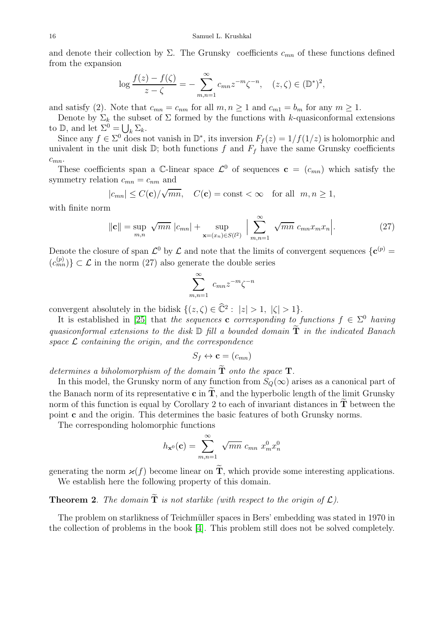and denote their collection by  $\Sigma$ . The Grunsky coefficients  $c_{mn}$  of these functions defined from the expansion

$$
\log \frac{f(z) - f(\zeta)}{z - \zeta} = - \sum_{m,n=1}^{\infty} c_{mn} z^{-m} \zeta^{-n}, \quad (z, \zeta) \in (\mathbb{D}^*)^2,
$$

and satisfy (2). Note that  $c_{mn} = c_{nm}$  for all  $m, n \ge 1$  and  $c_{m1} = b_m$  for any  $m \ge 1$ .

Denote by  $\Sigma_k$  the subset of  $\Sigma$  formed by the functions with k-quasiconformal extensions to D, and let  $\Sigma^0 = \bigcup_k \Sigma_k$ .

Since any  $f \in \Sigma^0$  does not vanish in  $\mathbb{D}^*$ , its inversion  $F_f(z) = 1/f(1/z)$  is holomorphic and univalent in the unit disk  $\mathbb{D}$ ; both functions f and  $F_f$  have the same Grunsky coefficients  $c_{mn}$ .

These coefficients span a C-linear space  $\mathcal{L}^0$  of sequences  $\mathbf{c} = (c_{mn})$  which satisfy the symmetry relation  $c_{mn} = c_{nm}$  and

$$
|c_{mn}| \leq C(\mathbf{c})/\sqrt{mn}
$$
,  $C(\mathbf{c}) = \text{const} < \infty$  for all  $m, n \geq 1$ ,

with finite norm

$$
\|\mathbf{c}\| = \sup_{m,n} \sqrt{mn} |c_{mn}| + \sup_{\mathbf{x} = (x_n) \in S(l^2)} \Big| \sum_{m,n=1}^{\infty} \sqrt{mn} c_{mn} x_m x_n \Big|.
$$
 (27)

Denote the closure of span  $\mathcal{L}^0$  by  $\mathcal L$  and note that the limits of convergent sequences  $\{c^{(p)} = c\}$  $(c_{mn}^{(p)})\subset\mathcal{L}$  in the norm (27) also generate the double series

$$
\sum_{m,n=1}^{\infty} c_{mn} z^{-m} \zeta^{-n}
$$

convergent absolutely in the bidisk  $\{(z,\zeta) \in \widehat{\mathbb{C}}^2 : |z| > 1, |\zeta| > 1\}.$ 

It is established in [\[25\]](#page-18-17) that the sequences **c** corresponding to functions  $f \in \Sigma^0$  having quasiconformal extensions to the disk  $\mathbb D$  fill a bounded domain  $\widetilde{\bf T}$  in the indicated Banach space  $\mathcal L$  containing the origin, and the correspondence

$$
S_f \leftrightarrow \mathbf{c} = (c_{mn})
$$

determines a biholomorphism of the domain  $\widetilde{\mathbf{T}}$  onto the space  $\mathbf{T}$ .

In this model, the Grunsky norm of any function from  $S_Q(\infty)$  arises as a canonical part of the Banach norm of its representative **c** in  $\tilde{T}$ , and the hyperbolic length of the limit Grunsky norm of this function is equal by Corollary 2 to each of invariant distances in  $\tilde{\mathbf{T}}$  between the point c and the origin. This determines the basic features of both Grunsky norms.

The corresponding holomorphic functions

$$
h_{\mathbf{x}^0}(\mathbf{c}) = \sum_{m,n=1}^{\infty} \sqrt{mn} \ c_{mn} \ x_m^0 x_n^0
$$

generating the norm  $\varkappa(f)$  become linear on  $\tilde{T}$ , which provide some interesting applications. We establish here the following property of this domain.

# **Theorem 2.** The domain  $\tilde{T}$  is not starlike (with respect to the origin of  $\mathcal{L}$ ).

The problem on starlikness of Teichmüller spaces in Bers' embedding was stated in 1970 in the collection of problems in the book [\[4\]](#page-17-14). This problem still does not be solved completely.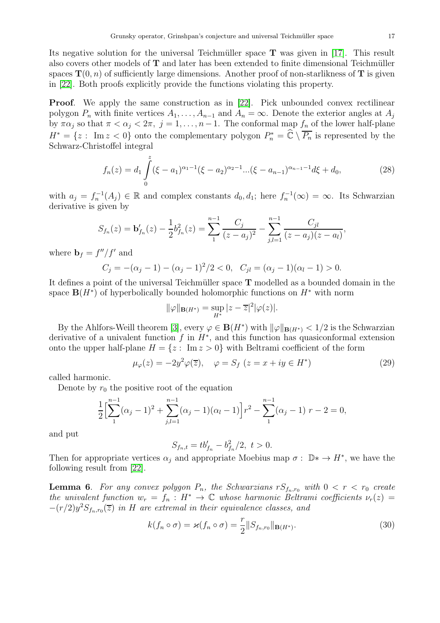Its negative solution for the universal Teichmüller space  $\bf{T}$  was given in [\[17\]](#page-17-15). This result also covers other models of  $T$  and later has been extended to finite dimensional Teichmüller spaces  $\mathbf{T}(0, n)$  of sufficiently large dimensions. Another proof of non-starlikness of T is given in [\[22\]](#page-18-18). Both proofs explicitly provide the functions violating this property.

**Proof.** We apply the same construction as in [\[22\]](#page-18-18). Pick unbounded convex rectilinear polygon  $P_n$  with finite vertices  $A_1, \ldots, A_{n-1}$  and  $A_n = \infty$ . Denote the exterior angles at  $A_j$ by  $\pi \alpha_j$  so that  $\pi < \alpha_j < 2\pi$ ,  $j = 1, \ldots, n-1$ . The conformal map  $f_n$  of the lower half-plane  $H^* = \{z : \text{ Im } z < 0\}$  onto the complementary polygon  $P_n^* = \widehat{\mathbb{C}} \setminus \overline{P_n}$  is represented by the Schwarz-Christoffel integral

$$
f_n(z) = d_1 \int_0^z (\xi - a_1)^{\alpha_1 - 1} (\xi - a_2)^{\alpha_2 - 1} \dots (\xi - a_{n-1})^{\alpha_{n-1} - 1} d\xi + d_0,
$$
 (28)

with  $a_j = f_n^{-1}(A_j) \in \mathbb{R}$  and complex constants  $d_0, d_1$ ; here  $f_n^{-1}(\infty) = \infty$ . Its Schwarzian derivative is given by

$$
S_{f_n}(z) = \mathbf{b}'_{f_n}(z) - \frac{1}{2}b_{f_n}^2(z) = \sum_{1}^{n-1} \frac{C_j}{(z-a_j)^2} - \sum_{j,l=1}^{n-1} \frac{C_{jl}}{(z-a_j)(z-a_l)},
$$

where  $\mathbf{b}_f = f''/f'$  and

$$
C_j = -(\alpha_j - 1) - (\alpha_j - 1)^2/2 < 0, \quad C_{jl} = (\alpha_j - 1)(\alpha_l - 1) > 0.
$$

It defines a point of the universal Teichmüller space  $T$  modelled as a bounded domain in the space  $\mathbf{B}(H^*)$  of hyperbolically bounded holomorphic functions on  $H^*$  with norm

$$
\|\varphi\|_{\mathbf{B}(H^*)} = \sup_{H^*} |z - \overline{z}|^2 |\varphi(z)|.
$$

By the Ahlfors-Weill theorem [\[3\]](#page-17-16), every  $\varphi \in \mathbf{B}(H^*)$  with  $\|\varphi\|_{\mathbf{B}(H^*)} < 1/2$  is the Schwarzian derivative of a univalent function  $f$  in  $H^*$ , and this function has quasiconformal extension onto the upper half-plane  $H = \{z : \text{Im } z > 0\}$  with Beltrami coefficient of the form

$$
\mu_{\varphi}(z) = -2y^2 \varphi(\overline{z}), \quad \varphi = S_f \ (z = x + iy \in H^*) \tag{29}
$$

called harmonic.

Denote by  $r_0$  the positive root of the equation

$$
\frac{1}{2}\left[\sum_{1}^{n-1}(\alpha_j-1)^2+\sum_{j,l=1}^{n-1}(\alpha_j-1)(\alpha_l-1)\right]r^2-\sum_{1}^{n-1}(\alpha_j-1) \ r-2=0,
$$

and put

$$
S_{f_n,t} = tb'_{f_n} - b_{f_n}^2/2, \ t > 0.
$$

Then for appropriate vertices  $\alpha_j$  and appropriate Moebius map  $\sigma : \mathbb{D}^* \to H^*$ , we have the following result from [\[22\]](#page-18-18).

**Lemma 6.** For any convex polygon  $P_n$ , the Schwarzians  $rS_{f_n,r_0}$  with  $0 < r < r_0$  create the univalent function  $w_r = f_n : H^* \to \mathbb{C}$  whose harmonic Beltrami coefficients  $\nu_r(z) =$  $-(r/2)y^2S_{f_n,r_0}(\overline{z})$  in H are extremal in their equivalence classes, and

$$
k(f_n \circ \sigma) = \varkappa(f_n \circ \sigma) = \frac{r}{2} ||S_{f_n, r_0}||_{\mathbf{B}(H^*)}.
$$
\n(30)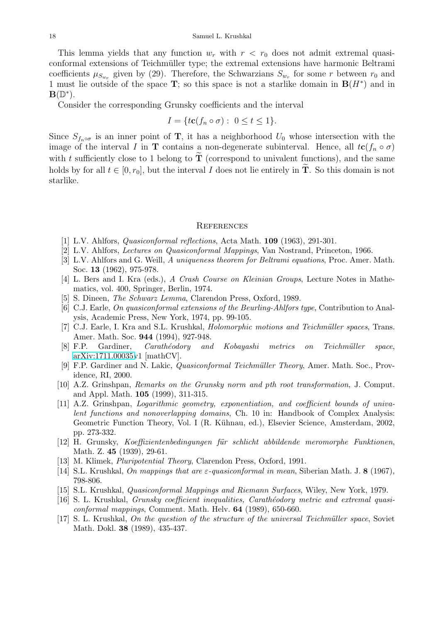This lemma yields that any function  $w_r$  with  $r < r_0$  does not admit extremal quasiconformal extensions of Teichmüller type; the extremal extensions have harmonic Beltrami coefficients  $\mu_{S_{w_r}}$  given by (29). Therefore, the Schwarzians  $S_{w_r}$  for some r between  $r_0$  and 1 must lie outside of the space T; so this space is not a starlike domain in  $B(H^*)$  and in  $\mathbf{B}(\mathbb{D}^*).$ 

Consider the corresponding Grunsky coefficients and the interval

$$
I = \{ t\mathbf{c}(f_n \circ \sigma) : \ 0 \le t \le 1 \}.
$$

Since  $S_{f_n \circ \sigma}$  is an inner point of **T**, it has a neighborhood  $U_0$  whose intersection with the image of the interval I in T contains a non-degenerate subinterval. Hence, all  $tc(f_n \circ \sigma)$ with t sufficiently close to 1 belong to  $\tilde{\mathbf{T}}$  (correspond to univalent functions), and the same holds by for all  $t \in [0, r_0]$ , but the interval I does not lie entirely in  $\tilde{T}$ . So this domain is not starlike.

#### **REFERENCES**

- <span id="page-17-9"></span><span id="page-17-7"></span>[1] L.V. Ahlfors, Quasiconformal reflections, Acta Math. 109 (1963), 291-301.
- <span id="page-17-16"></span>[2] L.V. Ahlfors, Lectures on Quasiconformal Mappings, Van Nostrand, Princeton, 1966.
- [3] L.V. Ahlfors and G. Weill, A uniqueness theorem for Beltrami equations, Proc. Amer. Math. Soc. 13 (1962), 975-978.
- <span id="page-17-14"></span><span id="page-17-12"></span>[4] L. Bers and I. Kra (eds.), A Crash Course on Kleinian Groups, Lecture Notes in Mathematics, vol. 400, Springer, Berlin, 1974.
- <span id="page-17-4"></span>[5] S. Dineen, The Schwarz Lemma, Clarendon Press, Oxford, 1989.
- [6] C.J. Earle, On quasiconformal extensions of the Beurling-Ahlfors type, Contribution to Analysis, Academic Press, New York, 1974, pp. 99-105.
- <span id="page-17-10"></span>[7] C.J. Earle, I. Kra and S.L. Krushkal, *Holomorphic motions and Teichmüller spaces*, Trans. Amer. Math. Soc. 944 (1994), 927-948.
- <span id="page-17-11"></span>[8] F.P. Gardiner, *Carathéodory and Kobayashi metrics on Teichmüller space*, [arXiv:1711.00035v](http://arxiv.org/abs/1711.00035)1 [mathCV].
- <span id="page-17-2"></span>[9] F.P. Gardiner and N. Lakic, Quasiconformal Teichm¨uller Theory, Amer. Math. Soc., Providence, RI, 2000.
- <span id="page-17-3"></span>[10] A.Z. Grinshpan, Remarks on the Grunsky norm and pth root transformation, J. Comput. and Appl. Math. 105 (1999), 311-315.
- <span id="page-17-8"></span>[11] A.Z. Grinshpan, Logarithmic geometry, exponentiation, and coefficient bounds of univalent functions and nonoverlapping domains, Ch. 10 in: Handbook of Complex Analysis: Geometric Function Theory, Vol. I (R. K¨uhnau, ed.), Elsevier Science, Amsterdam, 2002, pp. 273-332.
- <span id="page-17-0"></span>[12] H. Grunsky, Koeffizientenbedingungen für schlicht abbildende meromorphe Funktionen, Math. Z. **45** (1939), 29-61.
- <span id="page-17-13"></span><span id="page-17-5"></span>[13] M. Klimek, Pluripotential Theory, Clarendon Press, Oxford, 1991.
- <span id="page-17-6"></span>[14] S.L. Krushkal, On mappings that are  $\varepsilon$ -quasiconformal in mean, Siberian Math. J. 8 (1967), 798-806.
- <span id="page-17-1"></span>[15] S.L. Krushkal, Quasiconformal Mappings and Riemann Surfaces, Wiley, New York, 1979.
- [16] S. L. Krushkal, Grunsky coefficient inequalities, Carath´eodory metric and extremal quasiconformal mappings, Comment. Math. Helv. 64 (1989), 650-660.
- <span id="page-17-15"></span>[17] S. L. Krushkal, On the question of the structure of the universal Teichmüller space, Soviet Math. Dokl. 38 (1989), 435-437.